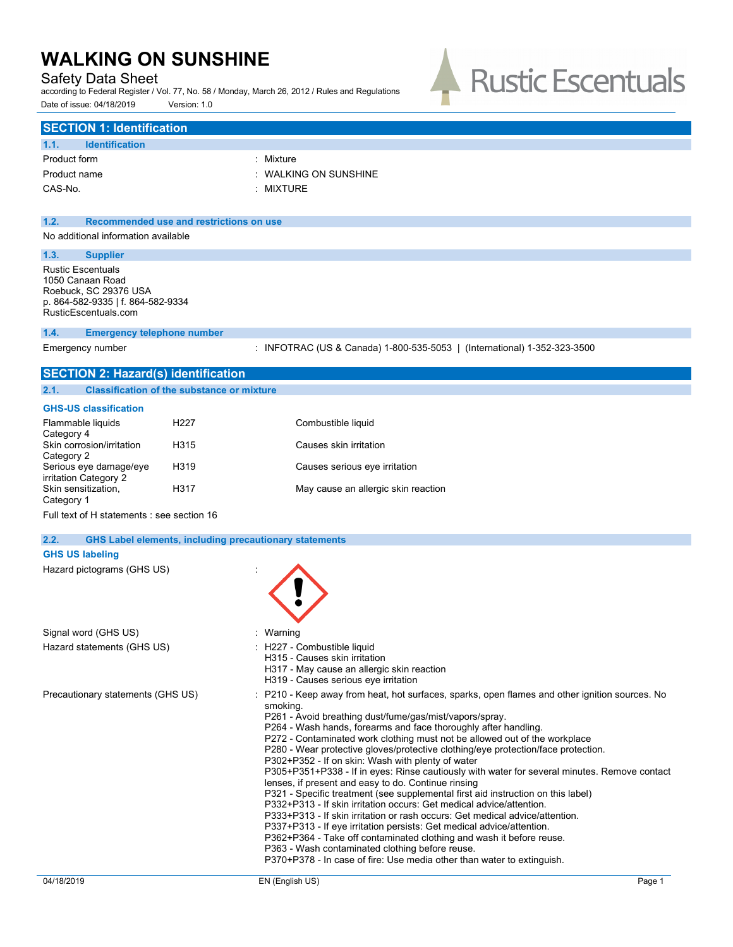# Safety Data Sheet

according to Federal Register / Vol. 77, No. 58 / Monday, March 26, 2012 / Rules and Regulations Date of issue: 04/18/2019 Version: 1.0



# **SECTION 1: Identification**

| : Mixture                        |
|----------------------------------|
| $\therefore$ WALKING ON SUNSHINE |
| : MIXTURE                        |
|                                  |

### **1.2. Recommended use and restrictions on use**

No additional information available

## **1.3. Supplier**

Rustic Escentuals 1050 Canaan Road Roebuck, SC 29376 USA p. 864-582-9335 | f. 864-582-9334 RusticEscentuals.com

#### **1.4. Emergency telephone number**

Emergency number : INFOTRAC (US & Canada) 1-800-535-5053 | (International) 1-352-323-3500

# **SECTION 2: Hazard(s) identification 2.1. Classification of the substance or mixture**

### **GHS-US classification**

| Flammable liquids<br>Category 4                 | H227             | Combustible liquid                  |
|-------------------------------------------------|------------------|-------------------------------------|
| Skin corrosion/irritation<br>Category 2         | H315             | Causes skin irritation              |
| Serious eye damage/eye<br>irritation Category 2 | H <sub>319</sub> | Causes serious eye irritation       |
| Skin sensitization,<br>Category 1               | H317             | May cause an allergic skin reaction |

Full text of H statements : see section 16

#### **2.2. GHS Label elements, including precautionary statements**

### **GHS US labeling**

| Hazard pictograms (GHS US) |  |  |
|----------------------------|--|--|
|----------------------------|--|--|

| Signal word (GHS US)              | : Warning                                                                                                                                                                                                                                                                                                                                                                                                                                                                                                                                                                                                                                                                                                                                                                                                                                                                                                                                                                                                                                                                                                                                         |
|-----------------------------------|---------------------------------------------------------------------------------------------------------------------------------------------------------------------------------------------------------------------------------------------------------------------------------------------------------------------------------------------------------------------------------------------------------------------------------------------------------------------------------------------------------------------------------------------------------------------------------------------------------------------------------------------------------------------------------------------------------------------------------------------------------------------------------------------------------------------------------------------------------------------------------------------------------------------------------------------------------------------------------------------------------------------------------------------------------------------------------------------------------------------------------------------------|
| Hazard statements (GHS US)        | : H227 - Combustible liquid<br>H315 - Causes skin irritation<br>H317 - May cause an allergic skin reaction<br>H319 - Causes serious eye irritation                                                                                                                                                                                                                                                                                                                                                                                                                                                                                                                                                                                                                                                                                                                                                                                                                                                                                                                                                                                                |
| Precautionary statements (GHS US) | : P210 - Keep away from heat, hot surfaces, sparks, open flames and other ignition sources. No<br>smoking.<br>P261 - Avoid breathing dust/fume/gas/mist/vapors/spray.<br>P264 - Wash hands, forearms and face thoroughly after handling.<br>P272 - Contaminated work clothing must not be allowed out of the workplace<br>P280 - Wear protective gloves/protective clothing/eye protection/face protection.<br>P302+P352 - If on skin: Wash with plenty of water<br>P305+P351+P338 - If in eyes: Rinse cautiously with water for several minutes. Remove contact<br>lenses, if present and easy to do. Continue rinsing<br>P321 - Specific treatment (see supplemental first aid instruction on this label)<br>P332+P313 - If skin irritation occurs: Get medical advice/attention.<br>P333+P313 - If skin irritation or rash occurs: Get medical advice/attention.<br>P337+P313 - If eye irritation persists: Get medical advice/attention.<br>P362+P364 - Take off contaminated clothing and wash it before reuse.<br>P363 - Wash contaminated clothing before reuse.<br>P370+P378 - In case of fire: Use media other than water to extinguish. |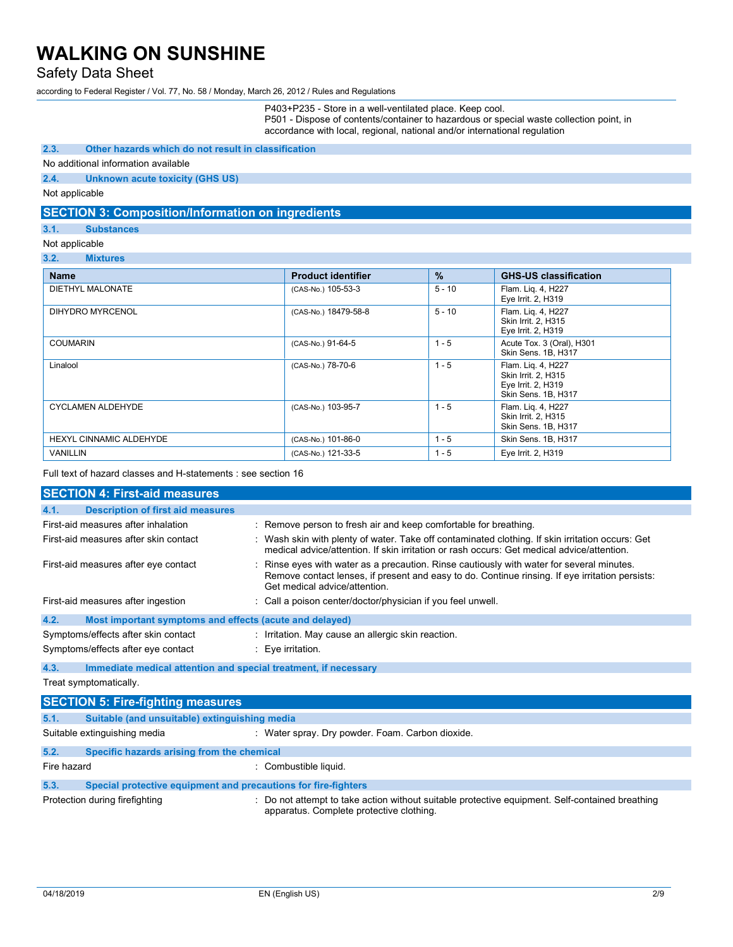# Safety Data Sheet

according to Federal Register / Vol. 77, No. 58 / Monday, March 26, 2012 / Rules and Regulations

P403+P235 - Store in a well-ventilated place. Keep cool. P501 - Dispose of contents/container to hazardous or special waste collection point, in accordance with local, regional, national and/or international regulation

### **2.3. Other hazards which do not result in classification**

### No additional information available

**2.4. Unknown acute toxicity (GHS US)**

Not applicable

## **SECTION 3: Composition/Information on ingredients**

### **3.1. Substances**

#### Not applicable

**3.2. Mixtures**

| <b>Name</b>                    | <b>Product identifier</b> | $\frac{9}{6}$ | <b>GHS-US classification</b>                                                           |
|--------------------------------|---------------------------|---------------|----------------------------------------------------------------------------------------|
| DIETHYL MALONATE               | (CAS-No.) 105-53-3        | $5 - 10$      | Flam. Lig. 4, H227<br>Eye Irrit. 2, H319                                               |
| DIHYDRO MYRCENOL               | (CAS-No.) 18479-58-8      | $5 - 10$      | Flam. Lig. 4, H227<br>Skin Irrit. 2, H315<br>Eye Irrit. 2, H319                        |
| COUMARIN                       | (CAS-No.) 91-64-5         | $1 - 5$       | Acute Tox. 3 (Oral), H301<br>Skin Sens, 1B, H317                                       |
| Linalool                       | (CAS-No.) 78-70-6         | $1 - 5$       | Flam. Lig. 4, H227<br>Skin Irrit. 2. H315<br>Eye Irrit. 2, H319<br>Skin Sens. 1B, H317 |
| <b>CYCLAMEN ALDEHYDE</b>       | (CAS-No.) 103-95-7        | $1 - 5$       | Flam. Lig. 4, H227<br>Skin Irrit. 2. H315<br>Skin Sens. 1B, H317                       |
| <b>HEXYL CINNAMIC ALDEHYDE</b> | (CAS-No.) 101-86-0        | $1 - 5$       | Skin Sens. 1B, H317                                                                    |
| <b>VANILLIN</b>                | (CAS-No.) 121-33-5        | $1 - 5$       | Eye Irrit. 2, H319                                                                     |

Full text of hazard classes and H-statements : see section 16

| <b>SECTION 4: First-aid measures</b>                                    |                                                                                                                                                                                                                               |  |
|-------------------------------------------------------------------------|-------------------------------------------------------------------------------------------------------------------------------------------------------------------------------------------------------------------------------|--|
| <b>Description of first aid measures</b><br>4.1.                        |                                                                                                                                                                                                                               |  |
| First-aid measures after inhalation                                     | : Remove person to fresh air and keep comfortable for breathing.                                                                                                                                                              |  |
| First-aid measures after skin contact                                   | : Wash skin with plenty of water. Take off contaminated clothing. If skin irritation occurs: Get<br>medical advice/attention. If skin irritation or rash occurs: Get medical advice/attention.                                |  |
| First-aid measures after eye contact                                    | : Rinse eyes with water as a precaution. Rinse cautiously with water for several minutes.<br>Remove contact lenses, if present and easy to do. Continue rinsing. If eye irritation persists:<br>Get medical advice/attention. |  |
| First-aid measures after ingestion                                      | : Call a poison center/doctor/physician if you feel unwell.                                                                                                                                                                   |  |
| 4.2.<br>Most important symptoms and effects (acute and delayed)         |                                                                                                                                                                                                                               |  |
| Symptoms/effects after skin contact                                     | : Irritation. May cause an allergic skin reaction.                                                                                                                                                                            |  |
| Symptoms/effects after eye contact                                      | $\therefore$ Eye irritation.                                                                                                                                                                                                  |  |
| 4.3.<br>Immediate medical attention and special treatment, if necessary |                                                                                                                                                                                                                               |  |
| Treat symptomatically.                                                  |                                                                                                                                                                                                                               |  |
|                                                                         |                                                                                                                                                                                                                               |  |

| <b>SECTION 5: FIFE-HUNTING MEASURES</b> |                                                                |                                                                                                                                             |  |
|-----------------------------------------|----------------------------------------------------------------|---------------------------------------------------------------------------------------------------------------------------------------------|--|
| 5.1.                                    | Suitable (and unsuitable) extinguishing media                  |                                                                                                                                             |  |
|                                         | Suitable extinguishing media                                   | : Water spray. Dry powder. Foam. Carbon dioxide.                                                                                            |  |
| 5.2.                                    | Specific hazards arising from the chemical                     |                                                                                                                                             |  |
| Fire hazard                             |                                                                | : Combustible liquid.                                                                                                                       |  |
| 5.3.                                    | Special protective equipment and precautions for fire-fighters |                                                                                                                                             |  |
|                                         | Protection during firefighting                                 | : Do not attempt to take action without suitable protective equipment. Self-contained breathing<br>apparatus. Complete protective clothing. |  |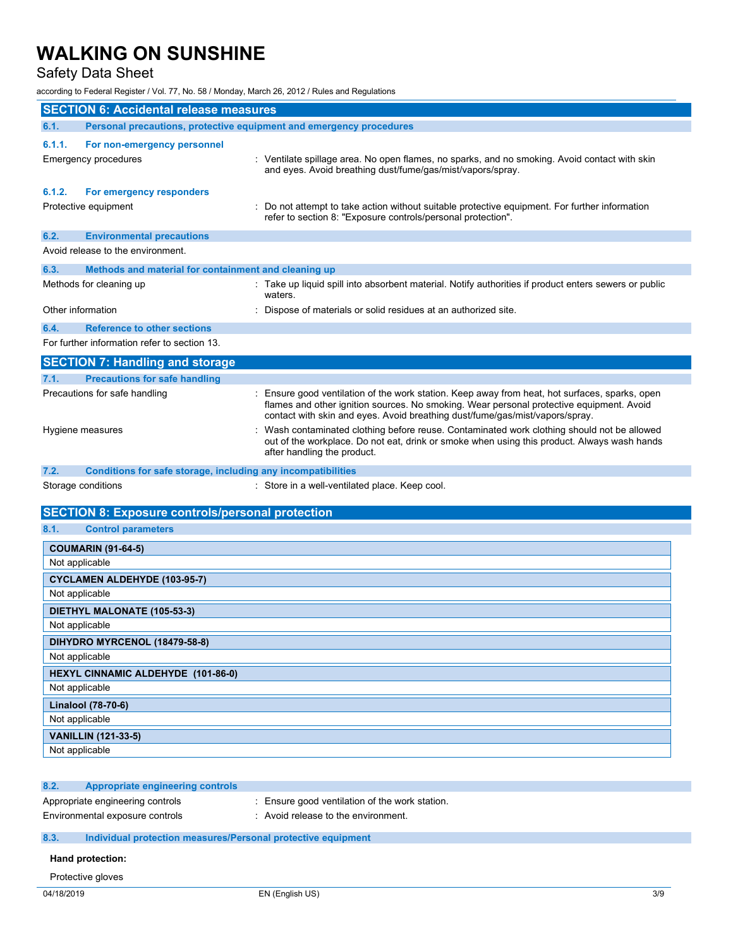# Safety Data Sheet

according to Federal Register / Vol. 77, No. 58 / Monday, March 26, 2012 / Rules and Regulations

|                                    | <b>SECTION 6: Accidental release measures</b>                       |                                                                                                                                                                                                                                                                            |  |
|------------------------------------|---------------------------------------------------------------------|----------------------------------------------------------------------------------------------------------------------------------------------------------------------------------------------------------------------------------------------------------------------------|--|
| 6.1.                               | Personal precautions, protective equipment and emergency procedures |                                                                                                                                                                                                                                                                            |  |
| 6.1.1.                             | For non-emergency personnel                                         |                                                                                                                                                                                                                                                                            |  |
|                                    | Emergency procedures                                                | : Ventilate spillage area. No open flames, no sparks, and no smoking. Avoid contact with skin<br>and eyes. Avoid breathing dust/fume/gas/mist/vapors/spray.                                                                                                                |  |
| 6.1.2.                             | For emergency responders                                            |                                                                                                                                                                                                                                                                            |  |
|                                    | Protective equipment                                                | Do not attempt to take action without suitable protective equipment. For further information<br>refer to section 8: "Exposure controls/personal protection".                                                                                                               |  |
| 6.2.                               | <b>Environmental precautions</b>                                    |                                                                                                                                                                                                                                                                            |  |
|                                    | Avoid release to the environment.                                   |                                                                                                                                                                                                                                                                            |  |
| 6.3.                               | Methods and material for containment and cleaning up                |                                                                                                                                                                                                                                                                            |  |
|                                    | Methods for cleaning up                                             | Take up liquid spill into absorbent material. Notify authorities if product enters sewers or public<br>waters.                                                                                                                                                             |  |
|                                    | Other information                                                   | Dispose of materials or solid residues at an authorized site.                                                                                                                                                                                                              |  |
| 6.4.                               | <b>Reference to other sections</b>                                  |                                                                                                                                                                                                                                                                            |  |
|                                    | For further information refer to section 13.                        |                                                                                                                                                                                                                                                                            |  |
|                                    | <b>SECTION 7: Handling and storage</b>                              |                                                                                                                                                                                                                                                                            |  |
| 7.1.                               | <b>Precautions for safe handling</b>                                |                                                                                                                                                                                                                                                                            |  |
|                                    | Precautions for safe handling                                       | : Ensure good ventilation of the work station. Keep away from heat, hot surfaces, sparks, open<br>flames and other ignition sources. No smoking. Wear personal protective equipment. Avoid<br>contact with skin and eyes. Avoid breathing dust/fume/gas/mist/vapors/spray. |  |
|                                    | Hygiene measures                                                    | Wash contaminated clothing before reuse. Contaminated work clothing should not be allowed<br>out of the workplace. Do not eat, drink or smoke when using this product. Always wash hands<br>after handling the product.                                                    |  |
| 7.2.                               | Conditions for safe storage, including any incompatibilities        |                                                                                                                                                                                                                                                                            |  |
|                                    | Storage conditions                                                  | : Store in a well-ventilated place. Keep cool.                                                                                                                                                                                                                             |  |
|                                    | <b>SECTION 8: Exposure controls/personal protection</b>             |                                                                                                                                                                                                                                                                            |  |
| 8.1.                               | <b>Control parameters</b>                                           |                                                                                                                                                                                                                                                                            |  |
|                                    | <b>COUMARIN (91-64-5)</b>                                           |                                                                                                                                                                                                                                                                            |  |
|                                    | Not applicable                                                      |                                                                                                                                                                                                                                                                            |  |
|                                    | <b>CYCLAMEN ALDEHYDE (103-95-7)</b>                                 |                                                                                                                                                                                                                                                                            |  |
|                                    | Not applicable                                                      |                                                                                                                                                                                                                                                                            |  |
|                                    | DIETHYL MALONATE (105-53-3)                                         |                                                                                                                                                                                                                                                                            |  |
| Not applicable                     |                                                                     |                                                                                                                                                                                                                                                                            |  |
| DIHYDRO MYRCENOL (18479-58-8)      |                                                                     |                                                                                                                                                                                                                                                                            |  |
| Not applicable                     |                                                                     |                                                                                                                                                                                                                                                                            |  |
| HEXYL CINNAMIC ALDEHYDE (101-86-0) |                                                                     |                                                                                                                                                                                                                                                                            |  |
| Not applicable                     |                                                                     |                                                                                                                                                                                                                                                                            |  |
| Linalool (78-70-6)                 |                                                                     |                                                                                                                                                                                                                                                                            |  |
|                                    | Not applicable                                                      |                                                                                                                                                                                                                                                                            |  |
|                                    | <b>VANILLIN (121-33-5)</b>                                          |                                                                                                                                                                                                                                                                            |  |
|                                    | Not applicable                                                      |                                                                                                                                                                                                                                                                            |  |

## **8.2. Appropriate engineering controls**

Appropriate engineering controls : Ensure good ventilation of the work station.

- Environmental exposure controls : Avoid release to the environment.
- 

## **8.3. Individual protection measures/Personal protective equipment**

#### **Hand protection:**

Protective gloves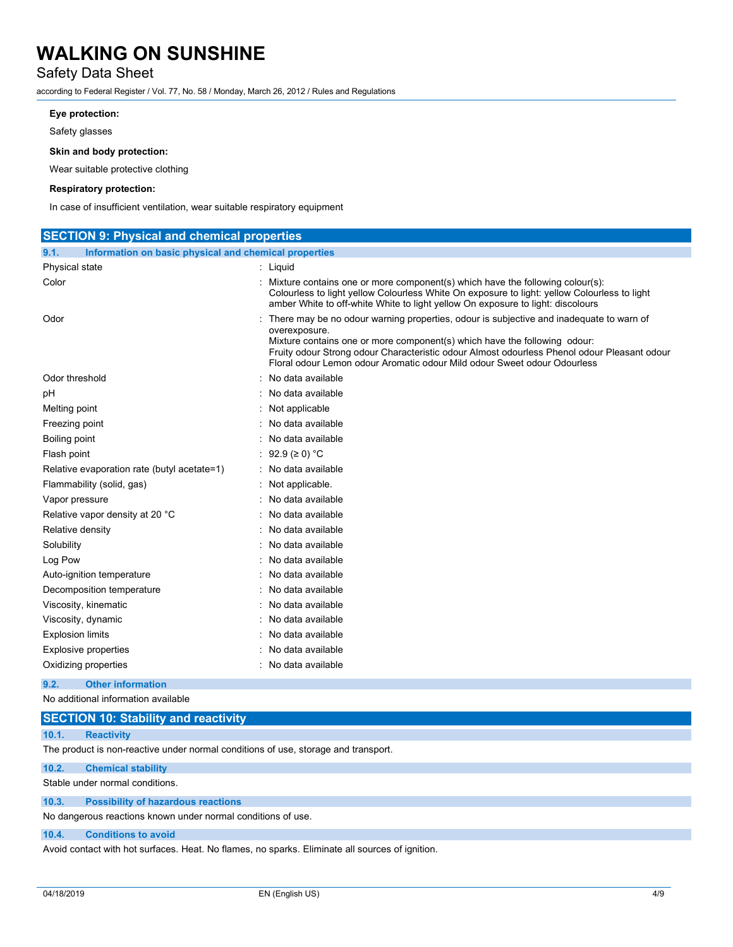# Safety Data Sheet

according to Federal Register / Vol. 77, No. 58 / Monday, March 26, 2012 / Rules and Regulations

### **Eye protection:**

Safety glasses

### **Skin and body protection:**

Wear suitable protective clothing

### **Respiratory protection:**

In case of insufficient ventilation, wear suitable respiratory equipment

| <b>SECTION 9: Physical and chemical properties</b>            |                                                                                                                                                                                                                                                                                                                                                                  |  |  |
|---------------------------------------------------------------|------------------------------------------------------------------------------------------------------------------------------------------------------------------------------------------------------------------------------------------------------------------------------------------------------------------------------------------------------------------|--|--|
| 9.1.<br>Information on basic physical and chemical properties |                                                                                                                                                                                                                                                                                                                                                                  |  |  |
| Physical state                                                | : Liquid                                                                                                                                                                                                                                                                                                                                                         |  |  |
| Color                                                         | : Mixture contains one or more component(s) which have the following colour(s):<br>Colourless to light yellow Colourless White On exposure to light: yellow Colourless to light<br>amber White to off-white White to light yellow On exposure to light: discolours                                                                                               |  |  |
| Odor                                                          | There may be no odour warning properties, odour is subjective and inadequate to warn of<br>overexposure.<br>Mixture contains one or more component(s) which have the following odour:<br>Fruity odour Strong odour Characteristic odour Almost odourless Phenol odour Pleasant odour<br>Floral odour Lemon odour Aromatic odour Mild odour Sweet odour Odourless |  |  |
| Odor threshold                                                | : No data available                                                                                                                                                                                                                                                                                                                                              |  |  |
| рH                                                            | : No data available                                                                                                                                                                                                                                                                                                                                              |  |  |
| Melting point                                                 | : Not applicable                                                                                                                                                                                                                                                                                                                                                 |  |  |
| Freezing point                                                | No data available                                                                                                                                                                                                                                                                                                                                                |  |  |
| Boiling point                                                 | : No data available                                                                                                                                                                                                                                                                                                                                              |  |  |
| Flash point                                                   | : 92.9 (≥ 0) °C                                                                                                                                                                                                                                                                                                                                                  |  |  |
| Relative evaporation rate (butyl acetate=1)                   | : No data available                                                                                                                                                                                                                                                                                                                                              |  |  |
| Flammability (solid, gas)                                     | Not applicable.                                                                                                                                                                                                                                                                                                                                                  |  |  |
| Vapor pressure                                                | : No data available                                                                                                                                                                                                                                                                                                                                              |  |  |
| Relative vapor density at 20 °C                               | : No data available                                                                                                                                                                                                                                                                                                                                              |  |  |
| Relative density                                              | : No data available                                                                                                                                                                                                                                                                                                                                              |  |  |
| Solubility                                                    | : No data available                                                                                                                                                                                                                                                                                                                                              |  |  |
| Log Pow                                                       | : No data available                                                                                                                                                                                                                                                                                                                                              |  |  |
| Auto-ignition temperature                                     | : No data available                                                                                                                                                                                                                                                                                                                                              |  |  |
| Decomposition temperature                                     | : No data available                                                                                                                                                                                                                                                                                                                                              |  |  |
| Viscosity, kinematic                                          | : No data available                                                                                                                                                                                                                                                                                                                                              |  |  |
| Viscosity, dynamic                                            | : No data available                                                                                                                                                                                                                                                                                                                                              |  |  |
| <b>Explosion limits</b>                                       | : No data available                                                                                                                                                                                                                                                                                                                                              |  |  |
| <b>Explosive properties</b>                                   | : No data available                                                                                                                                                                                                                                                                                                                                              |  |  |
| Oxidizing properties                                          | : No data available                                                                                                                                                                                                                                                                                                                                              |  |  |

### **9.2. Other information**

No additional information available

### **10.1. Reactivity**

The product is non-reactive under normal conditions of use, storage and transport.

## **10.2. Chemical stability**

Stable under normal conditions.

**10.3. Possibility of hazardous reactions**

No dangerous reactions known under normal conditions of use.

## **10.4. Conditions to avoid**

Avoid contact with hot surfaces. Heat. No flames, no sparks. Eliminate all sources of ignition.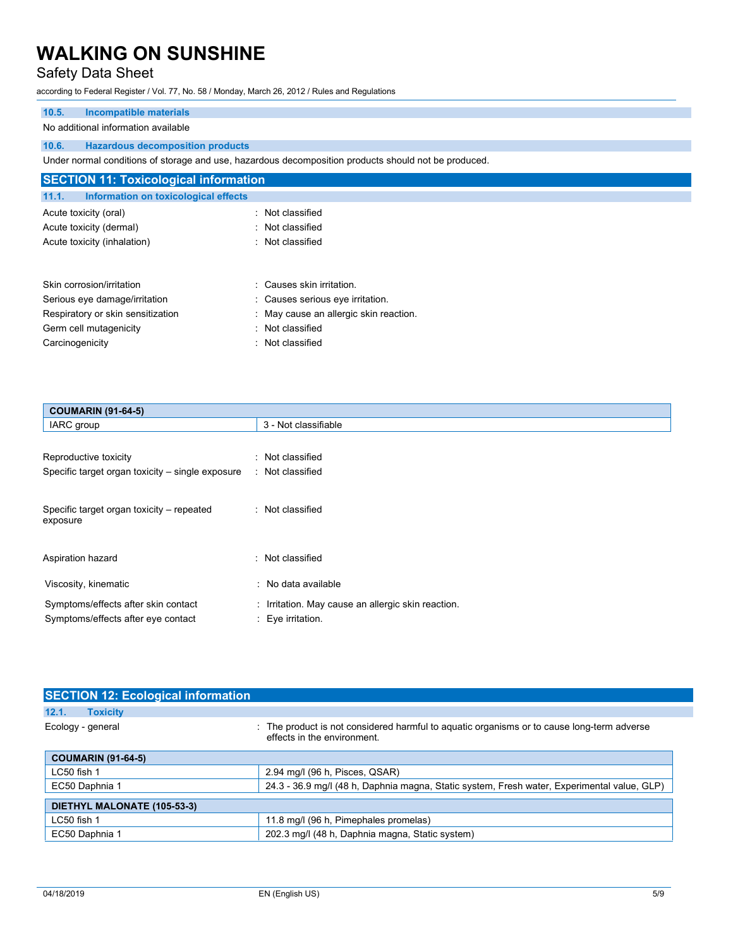# Safety Data Sheet

according to Federal Register / Vol. 77, No. 58 / Monday, March 26, 2012 / Rules and Regulations

# **10.5. Incompatible materials**

### No additional information available

### **10.6. Hazardous decomposition products**

Under normal conditions of storage and use, hazardous decomposition products should not be produced.

| <b>SECTION 11: Toxicological information</b>  |                                        |  |  |
|-----------------------------------------------|----------------------------------------|--|--|
| 11.1.<br>Information on toxicological effects |                                        |  |  |
| Acute toxicity (oral)                         | : Not classified                       |  |  |
| Acute toxicity (dermal)                       | : Not classified                       |  |  |
| Acute toxicity (inhalation)                   | : Not classified                       |  |  |
|                                               |                                        |  |  |
| Skin corrosion/irritation                     | : Causes skin irritation.              |  |  |
| Serious eye damage/irritation                 | : Causes serious eve irritation.       |  |  |
| Respiratory or skin sensitization             | : May cause an allergic skin reaction. |  |  |
| Germ cell mutagenicity                        | : Not classified                       |  |  |
| Carcinogenicity                               | : Not classified                       |  |  |

| <b>COUMARIN (91-64-5)</b>                        |                                                    |  |
|--------------------------------------------------|----------------------------------------------------|--|
| IARC group                                       | 3 - Not classifiable                               |  |
|                                                  |                                                    |  |
| Reproductive toxicity                            | : Not classified                                   |  |
| Specific target organ toxicity – single exposure | : Not classified                                   |  |
|                                                  |                                                    |  |
| Specific target organ toxicity – repeated        | : Not classified                                   |  |
| exposure                                         |                                                    |  |
|                                                  |                                                    |  |
| Aspiration hazard                                | : Not classified                                   |  |
|                                                  |                                                    |  |
| Viscosity, kinematic                             | : No data available                                |  |
| Symptoms/effects after skin contact              | : Irritation. May cause an allergic skin reaction. |  |
| Symptoms/effects after eye contact               | : Eye irritation.                                  |  |

| <b>SECTION 12: Ecological information</b> |                                                                                                                           |  |  |
|-------------------------------------------|---------------------------------------------------------------------------------------------------------------------------|--|--|
| 12.1.<br><b>Toxicity</b>                  |                                                                                                                           |  |  |
| Ecology - general                         | : The product is not considered harmful to aguatic organisms or to cause long-term adverse<br>effects in the environment. |  |  |
| <b>COUMARIN (91-64-5)</b>                 |                                                                                                                           |  |  |
| LC50 fish 1                               | 2.94 mg/l (96 h, Pisces, QSAR)                                                                                            |  |  |
| EC50 Daphnia 1                            | 24.3 - 36.9 mg/l (48 h, Daphnia magna, Static system, Fresh water, Experimental value, GLP)                               |  |  |
| DIETHYL MALONATE (105-53-3)               |                                                                                                                           |  |  |
| LC50 fish 1                               | 11.8 mg/l (96 h, Pimephales promelas)                                                                                     |  |  |
| EC50 Daphnia 1                            | 202.3 mg/l (48 h, Daphnia magna, Static system)                                                                           |  |  |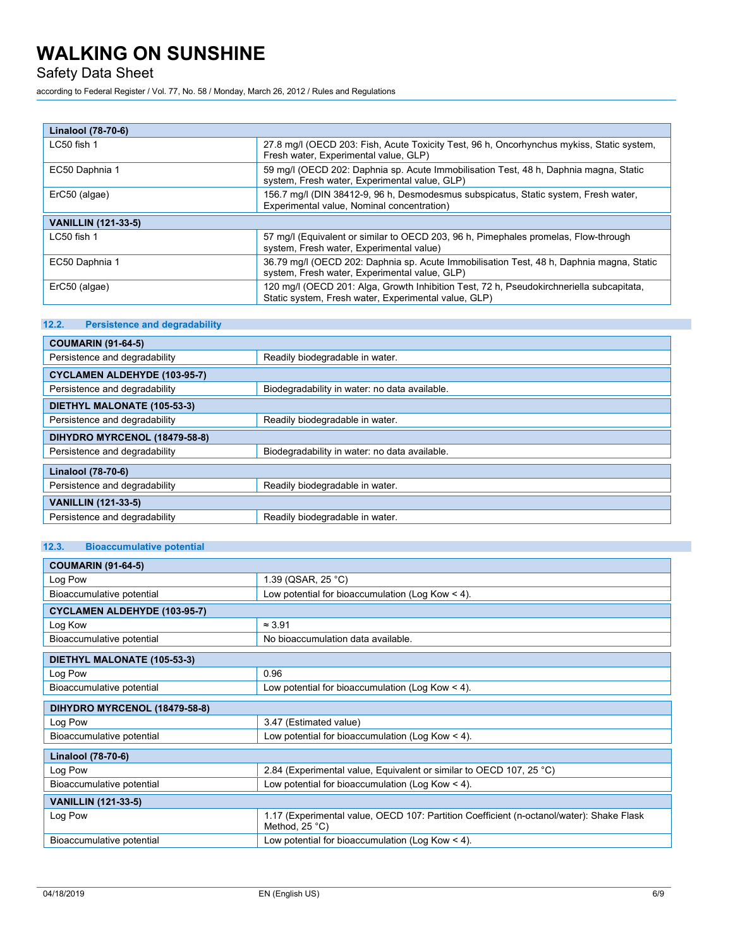Safety Data Sheet

according to Federal Register / Vol. 77, No. 58 / Monday, March 26, 2012 / Rules and Regulations

| Linalool (78-70-6)         |                                                                                                                                                  |  |
|----------------------------|--------------------------------------------------------------------------------------------------------------------------------------------------|--|
| $LC50$ fish 1              | 27.8 mg/l (OECD 203: Fish, Acute Toxicity Test, 96 h, Oncorhynchus mykiss, Static system,<br>Fresh water, Experimental value, GLP)               |  |
| EC50 Daphnia 1             | 59 mg/l (OECD 202: Daphnia sp. Acute Immobilisation Test, 48 h, Daphnia magna, Static<br>system, Fresh water, Experimental value, GLP)           |  |
| ErC50 (algae)              | 156.7 mg/l (DIN 38412-9, 96 h, Desmodesmus subspicatus, Static system, Fresh water,<br>Experimental value, Nominal concentration)                |  |
| <b>VANILLIN (121-33-5)</b> |                                                                                                                                                  |  |
| $LC50$ fish 1              | 57 mg/l (Equivalent or similar to OECD 203, 96 h, Pimephales promelas, Flow-through<br>system, Fresh water, Experimental value)                  |  |
| EC50 Daphnia 1             | 36.79 mg/l (OECD 202: Daphnia sp. Acute Immobilisation Test, 48 h, Daphnia magna, Static<br>system, Fresh water, Experimental value, GLP)        |  |
| ErC50 (algae)              | 120 mg/l (OECD 201: Alga, Growth Inhibition Test, 72 h, Pseudokirchneriella subcapitata,<br>Static system, Fresh water, Experimental value, GLP) |  |

# **12.2. Persistence and degradability**

| <b>COUMARIN (91-64-5)</b>           |                                               |  |
|-------------------------------------|-----------------------------------------------|--|
| Persistence and degradability       | Readily biodegradable in water.               |  |
| <b>CYCLAMEN ALDEHYDE (103-95-7)</b> |                                               |  |
| Persistence and degradability       | Biodegradability in water: no data available. |  |
| DIETHYL MALONATE (105-53-3)         |                                               |  |
| Persistence and degradability       | Readily biodegradable in water.               |  |
| DIHYDRO MYRCENOL (18479-58-8)       |                                               |  |
| Persistence and degradability       | Biodegradability in water: no data available. |  |
| Linalool (78-70-6)                  |                                               |  |
| Persistence and degradability       | Readily biodegradable in water.               |  |
| <b>VANILLIN (121-33-5)</b>          |                                               |  |
| Persistence and degradability       | Readily biodegradable in water.               |  |

# **12.3. Bioaccumulative potential**

| <b>COUMARIN (91-64-5)</b>           |                                                                                                            |  |
|-------------------------------------|------------------------------------------------------------------------------------------------------------|--|
| Log Pow                             | 1.39 (QSAR, 25 °C)                                                                                         |  |
| Bioaccumulative potential           | Low potential for bioaccumulation (Log Kow $\leq$ 4).                                                      |  |
| <b>CYCLAMEN ALDEHYDE (103-95-7)</b> |                                                                                                            |  |
| Log Kow                             | $\approx$ 3.91                                                                                             |  |
| Bioaccumulative potential           | No bioaccumulation data available.                                                                         |  |
| DIETHYL MALONATE (105-53-3)         |                                                                                                            |  |
| Log Pow                             | 0.96                                                                                                       |  |
| Bioaccumulative potential           | Low potential for bioaccumulation (Log Kow $<$ 4).                                                         |  |
| DIHYDRO MYRCENOL (18479-58-8)       |                                                                                                            |  |
| Log Pow                             | 3.47 (Estimated value)                                                                                     |  |
| Bioaccumulative potential           | Low potential for bioaccumulation (Log Kow $\leq$ 4).                                                      |  |
| Linalool (78-70-6)                  |                                                                                                            |  |
| Log Pow                             | 2.84 (Experimental value, Equivalent or similar to OECD 107, 25 °C)                                        |  |
| Bioaccumulative potential           | Low potential for bioaccumulation (Log Kow $\leq$ 4).                                                      |  |
| <b>VANILLIN</b> (121-33-5)          |                                                                                                            |  |
| Log Pow                             | 1.17 (Experimental value, OECD 107: Partition Coefficient (n-octanol/water): Shake Flask<br>Method, 25 °C) |  |
| Bioaccumulative potential           | Low potential for bioaccumulation (Log Kow $\leq$ 4).                                                      |  |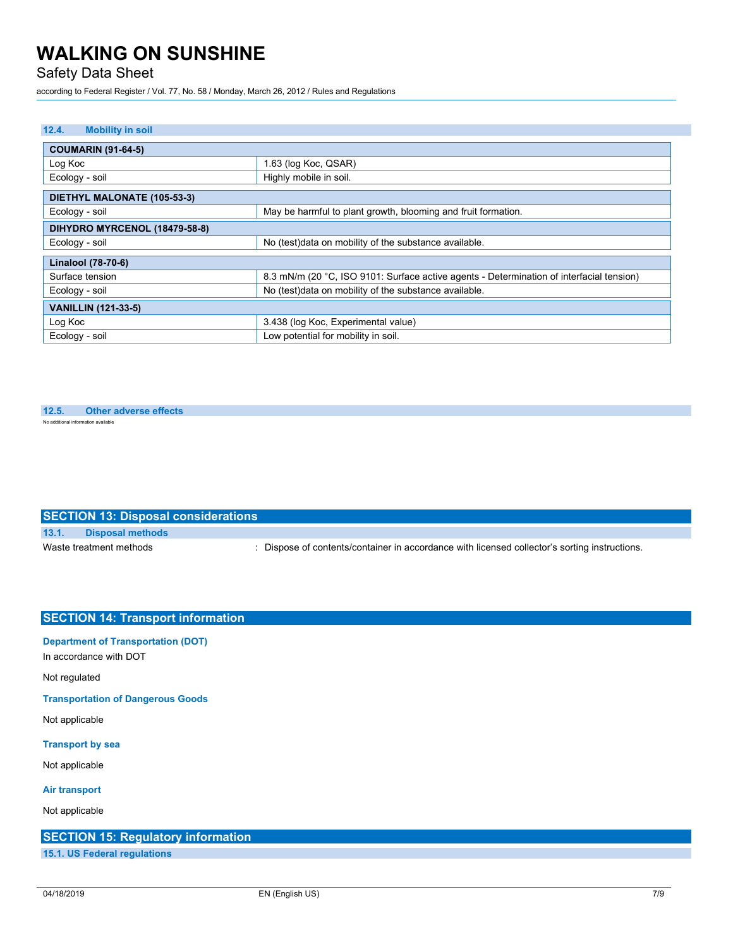Safety Data Sheet

according to Federal Register / Vol. 77, No. 58 / Monday, March 26, 2012 / Rules and Regulations

### **12.4. Mobility in soil**

| <b>COUMARIN (91-64-5)</b>     |                                                                                          |  |
|-------------------------------|------------------------------------------------------------------------------------------|--|
| Log Koc                       | 1.63 (log Koc, QSAR)                                                                     |  |
| Ecology - soil                | Highly mobile in soil.                                                                   |  |
| DIETHYL MALONATE (105-53-3)   |                                                                                          |  |
| Ecology - soil                | May be harmful to plant growth, blooming and fruit formation.                            |  |
| DIHYDRO MYRCENOL (18479-58-8) |                                                                                          |  |
| Ecology - soil                | No (test) data on mobility of the substance available.                                   |  |
| Linalool (78-70-6)            |                                                                                          |  |
| Surface tension               | 8.3 mN/m (20 °C, ISO 9101: Surface active agents - Determination of interfacial tension) |  |
| Ecology - soil                | No (test)data on mobility of the substance available.                                    |  |
| <b>VANILLIN (121-33-5)</b>    |                                                                                          |  |
| Log Koc                       | 3.438 (log Koc, Experimental value)                                                      |  |
| Ecology - soil                | Low potential for mobility in soil.                                                      |  |

#### **12.5. Other adverse effects** No additional information available

## **SECTION 13: Disposal considerations**

**13.1. Disposal methods**

Waste treatment methods : Dispose of contents/container in accordance with licensed collector's sorting instructions.

# **SECTION 14: Transport information**

### **Department of Transportation (DOT)**

In accordance with DOT

Not regulated

**Transportation of Dangerous Goods**

Not applicable

### **Transport by sea**

Not applicable

### **Air transport**

Not applicable

**SECTION 15: Regulatory information**

**15.1. US Federal regulations**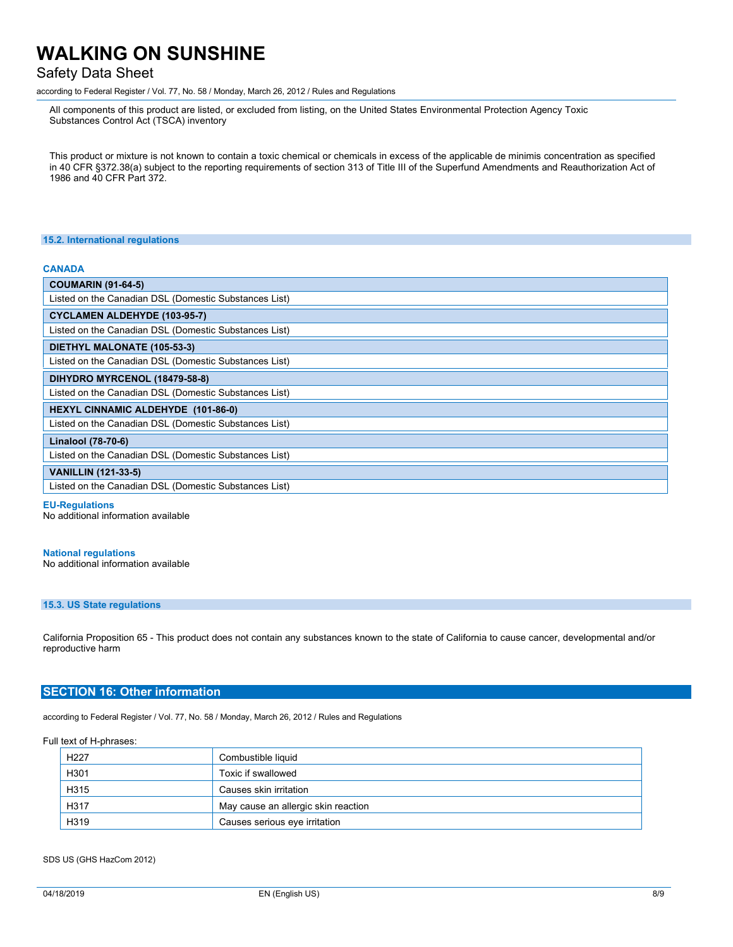# Safety Data Sheet

according to Federal Register / Vol. 77, No. 58 / Monday, March 26, 2012 / Rules and Regulations

All components of this product are listed, or excluded from listing, on the United States Environmental Protection Agency Toxic Substances Control Act (TSCA) inventory

This product or mixture is not known to contain a toxic chemical or chemicals in excess of the applicable de minimis concentration as specified in 40 CFR §372.38(a) subject to the reporting requirements of section 313 of Title III of the Superfund Amendments and Reauthorization Act of 1986 and 40 CFR Part 372.

#### **15.2. International regulations**

### **CANADA**

**EU-Regulations** No additional information available

#### **National regulations**

No additional information available

## **15.3. US State regulations**

California Proposition 65 - This product does not contain any substances known to the state of California to cause cancer, developmental and/or reproductive harm

### **SECTION 16: Other information**

according to Federal Register / Vol. 77, No. 58 / Monday, March 26, 2012 / Rules and Regulations

#### Full text of H-phrases:

| H <sub>227</sub> | Combustible liquid                  |
|------------------|-------------------------------------|
| H301             | Toxic if swallowed                  |
| H315             | Causes skin irritation              |
| H317             | May cause an allergic skin reaction |
| H319             | Causes serious eye irritation       |

### SDS US (GHS HazCom 2012)